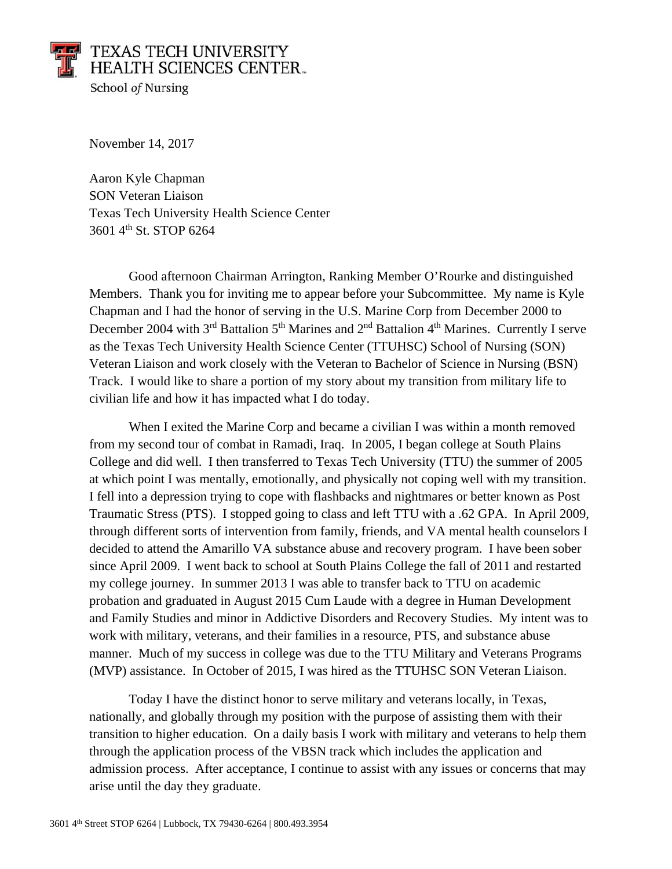## TEXAS TECH UNIVERSITY **HEALTH SCIENCES CENTER.** School of Nursing

November 14, 2017

Aaron Kyle Chapman SON Veteran Liaison Texas Tech University Health Science Center 3601 4th St. STOP 6264

Good afternoon Chairman Arrington, Ranking Member O'Rourke and distinguished Members. Thank you for inviting me to appear before your Subcommittee. My name is Kyle Chapman and I had the honor of serving in the U.S. Marine Corp from December 2000 to December 2004 with  $3<sup>rd</sup>$  Battalion  $5<sup>th</sup>$  Marines and  $2<sup>nd</sup>$  Battalion  $4<sup>th</sup>$  Marines. Currently I serve as the Texas Tech University Health Science Center (TTUHSC) School of Nursing (SON) Veteran Liaison and work closely with the Veteran to Bachelor of Science in Nursing (BSN) Track. I would like to share a portion of my story about my transition from military life to civilian life and how it has impacted what I do today.

When I exited the Marine Corp and became a civilian I was within a month removed from my second tour of combat in Ramadi, Iraq. In 2005, I began college at South Plains College and did well. I then transferred to Texas Tech University (TTU) the summer of 2005 at which point I was mentally, emotionally, and physically not coping well with my transition. I fell into a depression trying to cope with flashbacks and nightmares or better known as Post Traumatic Stress (PTS). I stopped going to class and left TTU with a .62 GPA. In April 2009, through different sorts of intervention from family, friends, and VA mental health counselors I decided to attend the Amarillo VA substance abuse and recovery program. I have been sober since April 2009. I went back to school at South Plains College the fall of 2011 and restarted my college journey. In summer 2013 I was able to transfer back to TTU on academic probation and graduated in August 2015 Cum Laude with a degree in Human Development and Family Studies and minor in Addictive Disorders and Recovery Studies. My intent was to work with military, veterans, and their families in a resource, PTS, and substance abuse manner. Much of my success in college was due to the TTU Military and Veterans Programs (MVP) assistance. In October of 2015, I was hired as the TTUHSC SON Veteran Liaison.

Today I have the distinct honor to serve military and veterans locally, in Texas, nationally, and globally through my position with the purpose of assisting them with their transition to higher education. On a daily basis I work with military and veterans to help them through the application process of the VBSN track which includes the application and admission process. After acceptance, I continue to assist with any issues or concerns that may arise until the day they graduate.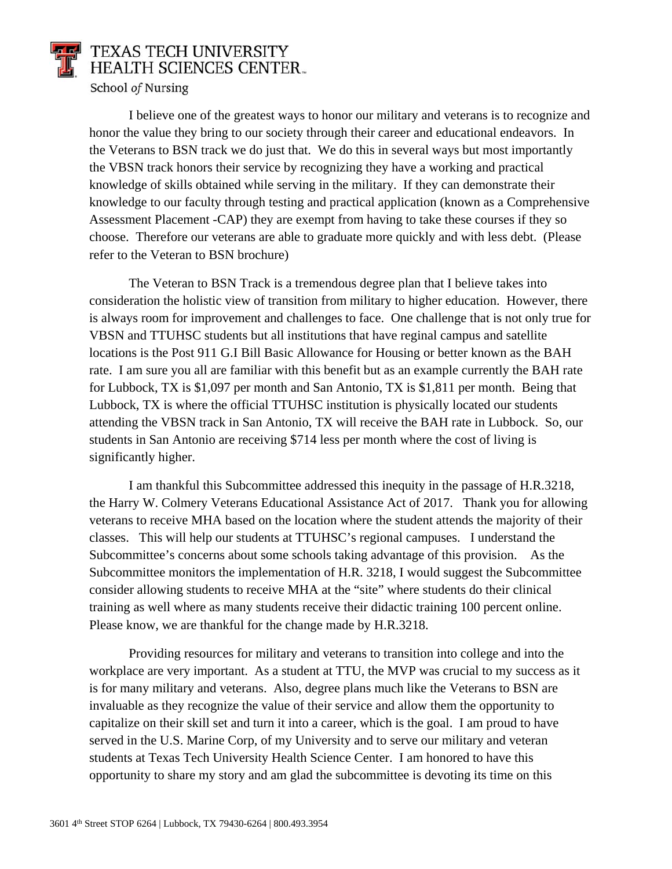

I believe one of the greatest ways to honor our military and veterans is to recognize and honor the value they bring to our society through their career and educational endeavors. In the Veterans to BSN track we do just that. We do this in several ways but most importantly the VBSN track honors their service by recognizing they have a working and practical knowledge of skills obtained while serving in the military. If they can demonstrate their knowledge to our faculty through testing and practical application (known as a Comprehensive Assessment Placement -CAP) they are exempt from having to take these courses if they so choose. Therefore our veterans are able to graduate more quickly and with less debt. (Please refer to the Veteran to BSN brochure)

The Veteran to BSN Track is a tremendous degree plan that I believe takes into consideration the holistic view of transition from military to higher education. However, there is always room for improvement and challenges to face. One challenge that is not only true for VBSN and TTUHSC students but all institutions that have reginal campus and satellite locations is the Post 911 G.I Bill Basic Allowance for Housing or better known as the BAH rate. I am sure you all are familiar with this benefit but as an example currently the BAH rate for Lubbock, TX is \$1,097 per month and San Antonio, TX is \$1,811 per month. Being that Lubbock, TX is where the official TTUHSC institution is physically located our students attending the VBSN track in San Antonio, TX will receive the BAH rate in Lubbock. So, our students in San Antonio are receiving \$714 less per month where the cost of living is significantly higher.

I am thankful this Subcommittee addressed this inequity in the passage of H.R.3218, the Harry W. Colmery Veterans Educational Assistance Act of 2017. Thank you for allowing veterans to receive MHA based on the location where the student attends the majority of their classes. This will help our students at TTUHSC's regional campuses. I understand the Subcommittee's concerns about some schools taking advantage of this provision. As the Subcommittee monitors the implementation of H.R. 3218, I would suggest the Subcommittee consider allowing students to receive MHA at the "site" where students do their clinical training as well where as many students receive their didactic training 100 percent online. Please know, we are thankful for the change made by H.R.3218.

Providing resources for military and veterans to transition into college and into the workplace are very important. As a student at TTU, the MVP was crucial to my success as it is for many military and veterans. Also, degree plans much like the Veterans to BSN are invaluable as they recognize the value of their service and allow them the opportunity to capitalize on their skill set and turn it into a career, which is the goal. I am proud to have served in the U.S. Marine Corp, of my University and to serve our military and veteran students at Texas Tech University Health Science Center. I am honored to have this opportunity to share my story and am glad the subcommittee is devoting its time on this